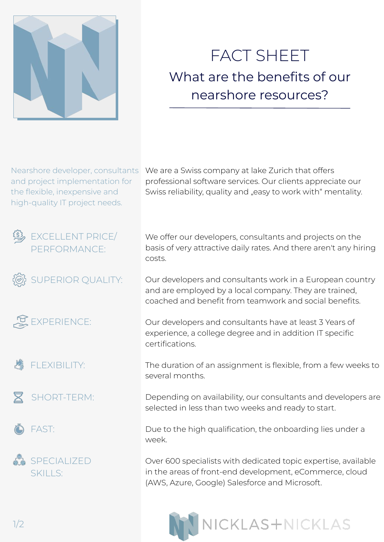

## FACT SHEET What are the benefits of our nearshore resources?

Nearshore developer, consultants and project implementation for the flexible, inexpensive and high-quality IT project needs.

We are a Swiss company at lake Zurich that offers professional software services. Our clients appreciate our Swiss reliability, quality and "easy to work with" mentality.